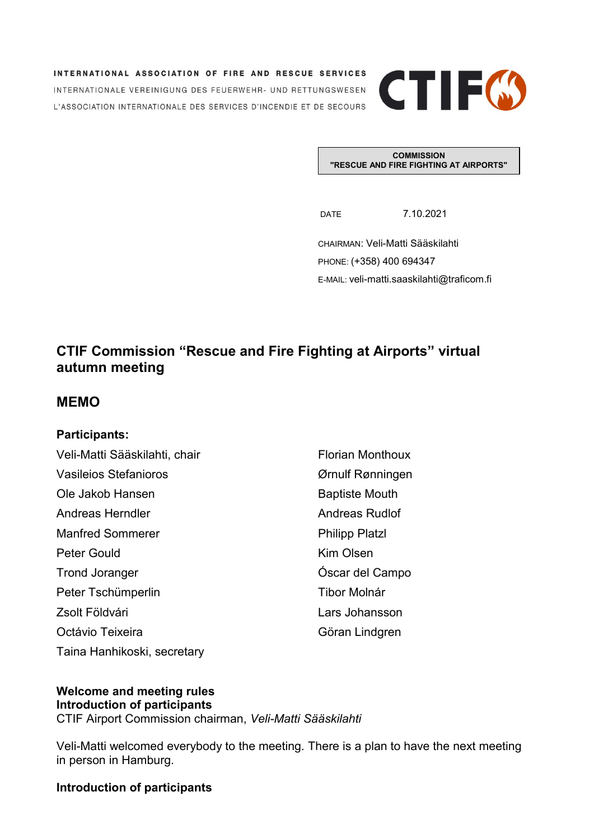INTERNATIONAL ASSOCIATION OF FIRE AND RESCUE SERVICES INTERNATIONALE VEREINIGUNG DES FEUERWEHR- UND RETTUNGSWESEN L'ASSOCIATION INTERNATIONALE DES SERVICES D'INCENDIE ET DE SECOURS



**COMMISSION "RESCUE AND FIRE FIGHTING AT AIRPORTS"**

DATE 7.10.2021

CHAIRMAN: Veli-Matti Sääskilahti PHONE: (+358) 400 694347 E-MAIL: veli-matti.saaskilahti@traficom.fi

## **CTIF Commission "Rescue and Fire Fighting at Airports" virtual autumn meeting**

## **MEMO**

### **Participants:**

| Veli-Matti Sääskilahti, chair | <b>Florian Monthoux</b> |
|-------------------------------|-------------------------|
| Vasileios Stefanioros         | Ørnulf Rønningen        |
| Ole Jakob Hansen              | <b>Baptiste Mouth</b>   |
| Andreas Herndler              | <b>Andreas Rudlof</b>   |
| <b>Manfred Sommerer</b>       | <b>Philipp Platzl</b>   |
| Peter Gould                   | Kim Olsen               |
| <b>Trond Joranger</b>         | Óscar del Campo         |
| Peter Tschümperlin            | Tibor Molnár            |
| Zsolt Földvári                | Lars Johansson          |
| Octávio Teixeira              | Göran Lindgren          |
| Taina Hanhikoski, secretary   |                         |

#### **Welcome and meeting rules Introduction of participants**

CTIF Airport Commission chairman, *Veli-Matti Sääskilahti*

Veli-Matti welcomed everybody to the meeting. There is a plan to have the next meeting in person in Hamburg.

## **Introduction of participants**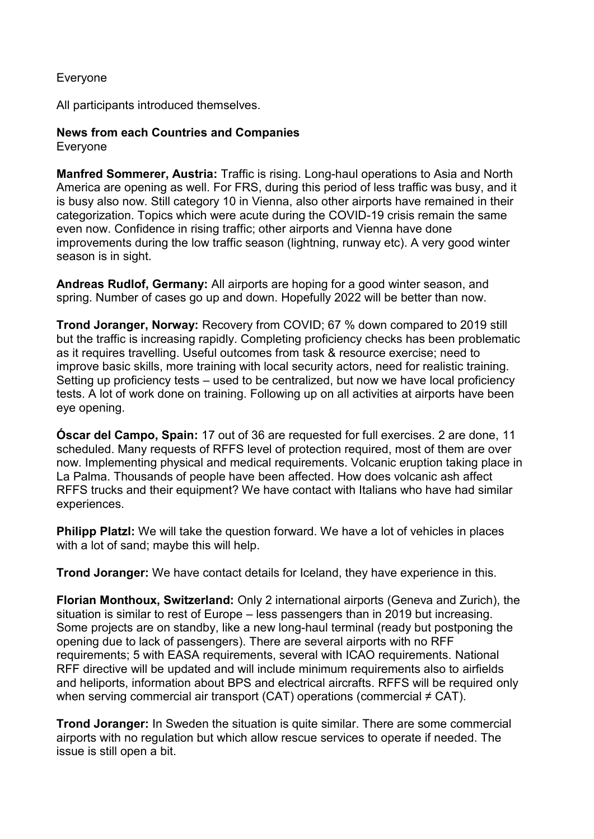## Everyone

All participants introduced themselves.

# **News from each Countries and Companies**

Everyone

**Manfred Sommerer, Austria:** Traffic is rising. Long-haul operations to Asia and North America are opening as well. For FRS, during this period of less traffic was busy, and it is busy also now. Still category 10 in Vienna, also other airports have remained in their categorization. Topics which were acute during the COVID-19 crisis remain the same even now. Confidence in rising traffic; other airports and Vienna have done improvements during the low traffic season (lightning, runway etc). A very good winter season is in sight.

**Andreas Rudlof, Germany:** All airports are hoping for a good winter season, and spring. Number of cases go up and down. Hopefully 2022 will be better than now.

**Trond Joranger, Norway:** Recovery from COVID; 67 % down compared to 2019 still but the traffic is increasing rapidly. Completing proficiency checks has been problematic as it requires travelling. Useful outcomes from task & resource exercise; need to improve basic skills, more training with local security actors, need for realistic training. Setting up proficiency tests – used to be centralized, but now we have local proficiency tests. A lot of work done on training. Following up on all activities at airports have been eye opening.

**Óscar del Campo, Spain:** 17 out of 36 are requested for full exercises. 2 are done, 11 scheduled. Many requests of RFFS level of protection required, most of them are over now. Implementing physical and medical requirements. Volcanic eruption taking place in La Palma. Thousands of people have been affected. How does volcanic ash affect RFFS trucks and their equipment? We have contact with Italians who have had similar experiences.

**Philipp Platzl:** We will take the question forward. We have a lot of vehicles in places with a lot of sand; maybe this will help.

**Trond Joranger:** We have contact details for Iceland, they have experience in this.

**Florian Monthoux, Switzerland:** Only 2 international airports (Geneva and Zurich), the situation is similar to rest of Europe – less passengers than in 2019 but increasing. Some projects are on standby, like a new long-haul terminal (ready but postponing the opening due to lack of passengers). There are several airports with no RFF requirements; 5 with EASA requirements, several with ICAO requirements. National RFF directive will be updated and will include minimum requirements also to airfields and heliports, information about BPS and electrical aircrafts. RFFS will be required only when serving commercial air transport (CAT) operations (commercial  $\neq$  CAT).

**Trond Joranger:** In Sweden the situation is quite similar. There are some commercial airports with no regulation but which allow rescue services to operate if needed. The issue is still open a bit.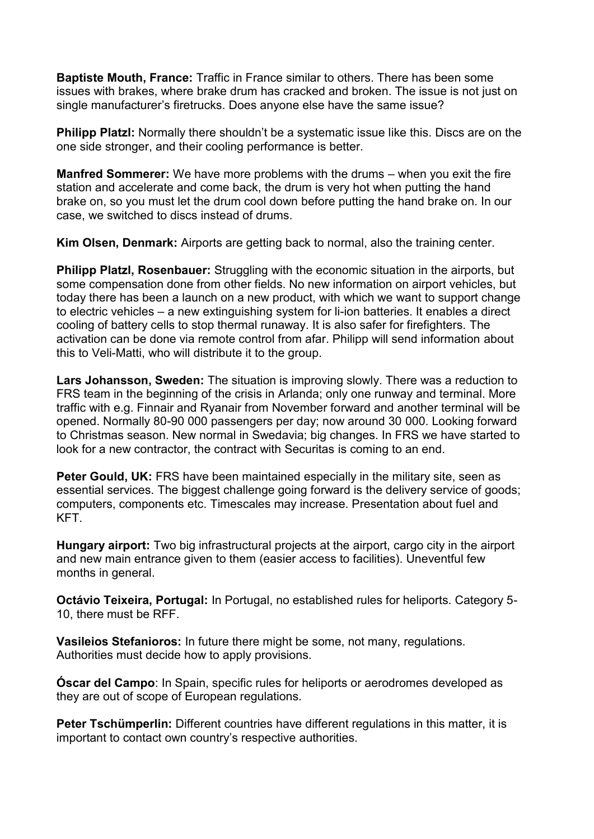**Baptiste Mouth, France:** Traffic in France similar to others. There has been some issues with brakes, where brake drum has cracked and broken. The issue is not just on single manufacturer's firetrucks. Does anyone else have the same issue?

**Philipp Platzl:** Normally there shouldn't be a systematic issue like this. Discs are on the one side stronger, and their cooling performance is better.

**Manfred Sommerer:** We have more problems with the drums – when you exit the fire station and accelerate and come back, the drum is very hot when putting the hand brake on, so you must let the drum cool down before putting the hand brake on. In our case, we switched to discs instead of drums.

**Kim Olsen, Denmark:** Airports are getting back to normal, also the training center.

**Philipp Platzl, Rosenbauer:** Struggling with the economic situation in the airports, but some compensation done from other fields. No new information on airport vehicles, but today there has been a launch on a new product, with which we want to support change to electric vehicles – a new extinguishing system for li-ion batteries. It enables a direct cooling of battery cells to stop thermal runaway. It is also safer for firefighters. The activation can be done via remote control from afar. Philipp will send information about this to Veli-Matti, who will distribute it to the group.

**Lars Johansson, Sweden:** The situation is improving slowly. There was a reduction to FRS team in the beginning of the crisis in Arlanda; only one runway and terminal. More traffic with e.g. Finnair and Ryanair from November forward and another terminal will be opened. Normally 80-90 000 passengers per day; now around 30 000. Looking forward to Christmas season. New normal in Swedavia; big changes. In FRS we have started to look for a new contractor, the contract with Securitas is coming to an end.

**Peter Gould, UK: FRS have been maintained especially in the military site, seen as** essential services. The biggest challenge going forward is the delivery service of goods; computers, components etc. Timescales may increase. Presentation about fuel and KFT.

**Hungary airport:** Two big infrastructural projects at the airport, cargo city in the airport and new main entrance given to them (easier access to facilities). Uneventful few months in general.

**Octávio Teixeira, Portugal:** In Portugal, no established rules for heliports. Category 5- 10, there must be RFF.

**Vasileios Stefanioros:** In future there might be some, not many, regulations. Authorities must decide how to apply provisions.

**Óscar del Campo**: In Spain, specific rules for heliports or aerodromes developed as they are out of scope of European regulations.

**Peter Tschümperlin:** Different countries have different regulations in this matter, it is important to contact own country's respective authorities.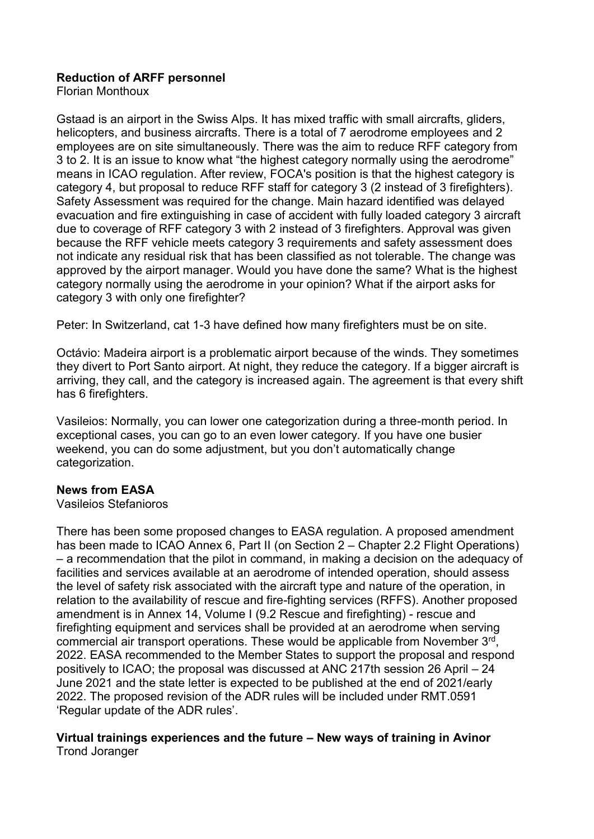## **Reduction of ARFF personnel**

Florian Monthoux

Gstaad is an airport in the Swiss Alps. It has mixed traffic with small aircrafts, gliders, helicopters, and business aircrafts. There is a total of 7 aerodrome employees and 2 employees are on site simultaneously. There was the aim to reduce RFF category from 3 to 2. It is an issue to know what "the highest category normally using the aerodrome" means in ICAO regulation. After review, FOCA's position is that the highest category is category 4, but proposal to reduce RFF staff for category 3 (2 instead of 3 firefighters). Safety Assessment was required for the change. Main hazard identified was delayed evacuation and fire extinguishing in case of accident with fully loaded category 3 aircraft due to coverage of RFF category 3 with 2 instead of 3 firefighters. Approval was given because the RFF vehicle meets category 3 requirements and safety assessment does not indicate any residual risk that has been classified as not tolerable. The change was approved by the airport manager. Would you have done the same? What is the highest category normally using the aerodrome in your opinion? What if the airport asks for category 3 with only one firefighter?

Peter: In Switzerland, cat 1-3 have defined how many firefighters must be on site.

Octávio: Madeira airport is a problematic airport because of the winds. They sometimes they divert to Port Santo airport. At night, they reduce the category. If a bigger aircraft is arriving, they call, and the category is increased again. The agreement is that every shift has 6 firefighters.

Vasileios: Normally, you can lower one categorization during a three-month period. In exceptional cases, you can go to an even lower category. If you have one busier weekend, you can do some adjustment, but you don't automatically change categorization.

### **News from EASA**

#### Vasileios Stefanioros

There has been some proposed changes to EASA regulation. A proposed amendment has been made to ICAO Annex 6, Part II (on Section 2 – Chapter 2.2 Flight Operations) – a recommendation that the pilot in command, in making a decision on the adequacy of facilities and services available at an aerodrome of intended operation, should assess the level of safety risk associated with the aircraft type and nature of the operation, in relation to the availability of rescue and fire-fighting services (RFFS). Another proposed amendment is in Annex 14, Volume I (9.2 Rescue and firefighting) - rescue and firefighting equipment and services shall be provided at an aerodrome when serving commercial air transport operations. These would be applicable from November 3rd, 2022. EASA recommended to the Member States to support the proposal and respond positively to ICAO; the proposal was discussed at ANC 217th session 26 April – 24 June 2021 and the state letter is expected to be published at the end of 2021/early 2022. The proposed revision of the ADR rules will be included under RMT.0591 'Regular update of the ADR rules'.

#### **Virtual trainings experiences and the future – New ways of training in Avinor** Trond Joranger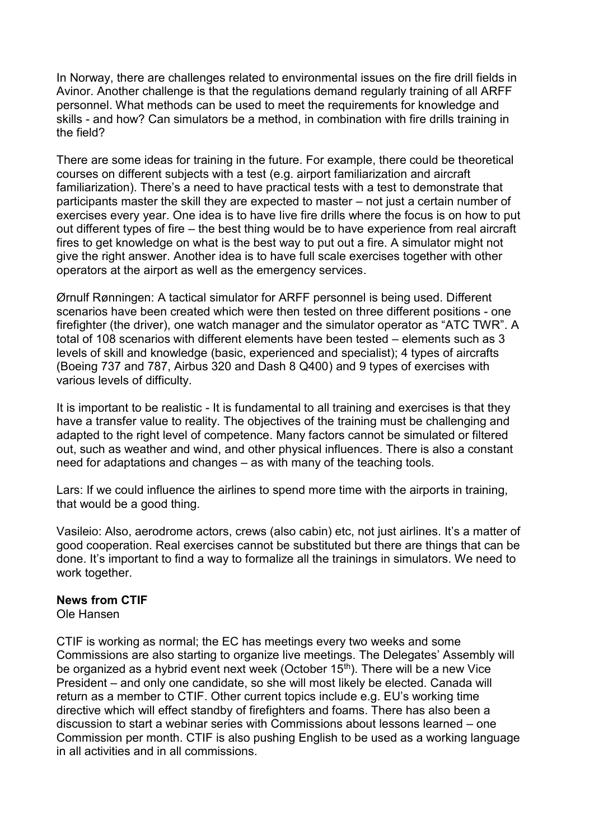In Norway, there are challenges related to environmental issues on the fire drill fields in Avinor. Another challenge is that the regulations demand regularly training of all ARFF personnel. What methods can be used to meet the requirements for knowledge and skills - and how? Can simulators be a method, in combination with fire drills training in the field?

There are some ideas for training in the future. For example, there could be theoretical courses on different subjects with a test (e.g. airport familiarization and aircraft familiarization). There's a need to have practical tests with a test to demonstrate that participants master the skill they are expected to master – not just a certain number of exercises every year. One idea is to have live fire drills where the focus is on how to put out different types of fire – the best thing would be to have experience from real aircraft fires to get knowledge on what is the best way to put out a fire. A simulator might not give the right answer. Another idea is to have full scale exercises together with other operators at the airport as well as the emergency services.

Ørnulf Rønningen: A tactical simulator for ARFF personnel is being used. Different scenarios have been created which were then tested on three different positions - one firefighter (the driver), one watch manager and the simulator operator as "ATC TWR". A total of 108 scenarios with different elements have been tested – elements such as 3 levels of skill and knowledge (basic, experienced and specialist); 4 types of aircrafts (Boeing 737 and 787, Airbus 320 and Dash 8 Q400) and 9 types of exercises with various levels of difficulty.

It is important to be realistic - It is fundamental to all training and exercises is that they have a transfer value to reality. The objectives of the training must be challenging and adapted to the right level of competence. Many factors cannot be simulated or filtered out, such as weather and wind, and other physical influences. There is also a constant need for adaptations and changes – as with many of the teaching tools.

Lars: If we could influence the airlines to spend more time with the airports in training, that would be a good thing.

Vasileio: Also, aerodrome actors, crews (also cabin) etc, not just airlines. It's a matter of good cooperation. Real exercises cannot be substituted but there are things that can be done. It's important to find a way to formalize all the trainings in simulators. We need to work together.

#### **News from CTIF**

Ole Hansen

CTIF is working as normal; the EC has meetings every two weeks and some Commissions are also starting to organize live meetings. The Delegates' Assembly will be organized as a hybrid event next week (October  $15<sup>th</sup>$ ). There will be a new Vice President – and only one candidate, so she will most likely be elected. Canada will return as a member to CTIF. Other current topics include e.g. EU's working time directive which will effect standby of firefighters and foams. There has also been a discussion to start a webinar series with Commissions about lessons learned – one Commission per month. CTIF is also pushing English to be used as a working language in all activities and in all commissions.